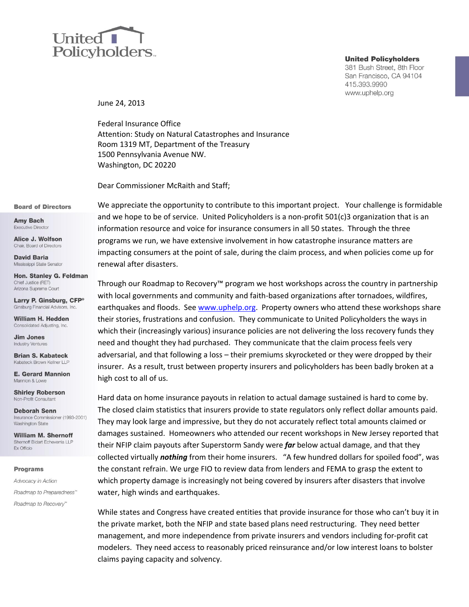# United 1 Policyholders.

#### **United Policyholders**

381 Bush Street, 8th Floor San Francisco, CA 94104 415.393.9990 www.uphelp.org

June 24, 2013

Federal Insurance Office Attention: Study on Natural Catastrophes and Insurance Room 1319 MT, Department of the Treasury 1500 Pennsylvania Avenue NW. Washington, DC 20220

Dear Commissioner McRaith and Staff;

#### **Board of Directors**

**Amy Bach Executive Director** 

Alice J. Wolfson Chair. Board of Directors

**David Baria** Mississippi State Senator

Hon. Stanley G. Feldman Chief Justice (RFT) Arizona Supreme Court

Larry P. Ginsburg, CFP<sup>®</sup> Ginsburg Financial Advisors, Inc.

William H. Hedden Consolidated Adjusting, Inc.

**Jim Jones Industry Ventures** 

**Brian S. Kabateck** Kabateck Brown Kellner LLP

**E. Gerard Mannion** Mannion & Lowe

**Shirley Roberson** Non-Profit Consultant

**Deborah Senn** Insurance Commissioner (1993-2001) Washington State

**William M. Shernoff** Shernoff Bidart Echeverria LLP Ex Officio

#### **Programs**

Advocacy in Action Roadmap to Preparedness<sup>\*\*</sup> Roadmap to Recovery"

We appreciate the opportunity to contribute to this important project. Your challenge is formidable and we hope to be of service. United Policyholders is a non-profit 501(c)3 organization that is an information resource and voice for insurance consumers in all 50 states. Through the three programs we run, we have extensive involvement in how catastrophe insurance matters are impacting consumers at the point of sale, during the claim process, and when policies come up for renewal after disasters.

Through our Roadmap to Recovery™ program we host workshops across the country in partnership with local governments and community and faith-based organizations after tornadoes, wildfires, earthquakes and floods. Se[e www.uphelp.org.](http://www.uphelp.org/) Property owners who attend these workshops share their stories, frustrations and confusion. They communicate to United Policyholders the ways in which their (increasingly various) insurance policies are not delivering the loss recovery funds they need and thought they had purchased. They communicate that the claim process feels very adversarial, and that following a loss – their premiums skyrocketed or they were dropped by their insurer. As a result, trust between property insurers and policyholders has been badly broken at a high cost to all of us.

Hard data on home insurance payouts in relation to actual damage sustained is hard to come by. The closed claim statistics that insurers provide to state regulators only reflect dollar amounts paid. They may look large and impressive, but they do not accurately reflect total amounts claimed or damages sustained. Homeowners who attended our recent workshops in New Jersey reported that their NFIP claim payouts after Superstorm Sandy were *far* below actual damage, and that they collected virtually *nothing* from their home insurers. "A few hundred dollars for spoiled food", was the constant refrain. We urge FIO to review data from lenders and FEMA to grasp the extent to which property damage is increasingly not being covered by insurers after disasters that involve water, high winds and earthquakes.

While states and Congress have created entities that provide insurance for those who can't buy it in the private market, both the NFIP and state based plans need restructuring. They need better management, and more independence from private insurers and vendors including for-profit cat modelers. They need access to reasonably priced reinsurance and/or low interest loans to bolster claims paying capacity and solvency.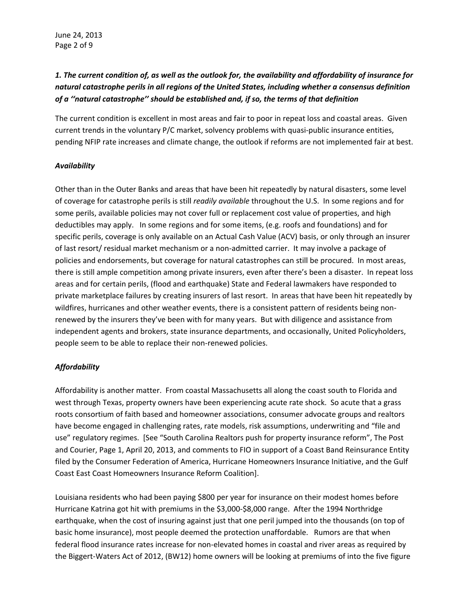# *1. The current condition of, as well as the outlook for, the availability and affordability of insurance for natural catastrophe perils in all regions of the United States, including whether a consensus definition of a ''natural catastrophe'' should be established and, if so, the terms of that definition*

The current condition is excellent in most areas and fair to poor in repeat loss and coastal areas. Given current trends in the voluntary P/C market, solvency problems with quasi-public insurance entities, pending NFIP rate increases and climate change, the outlook if reforms are not implemented fair at best.

## *Availability*

Other than in the Outer Banks and areas that have been hit repeatedly by natural disasters, some level of coverage for catastrophe perils is still *readily available* throughout the U.S. In some regions and for some perils, available policies may not cover full or replacement cost value of properties, and high deductibles may apply. In some regions and for some items, (e.g. roofs and foundations) and for specific perils, coverage is only available on an Actual Cash Value (ACV) basis, or only through an insurer of last resort/ residual market mechanism or a non-admitted carrier. It may involve a package of policies and endorsements, but coverage for natural catastrophes can still be procured. In most areas, there is still ample competition among private insurers, even after there's been a disaster. In repeat loss areas and for certain perils, (flood and earthquake) State and Federal lawmakers have responded to private marketplace failures by creating insurers of last resort. In areas that have been hit repeatedly by wildfires, hurricanes and other weather events, there is a consistent pattern of residents being nonrenewed by the insurers they've been with for many years. But with diligence and assistance from independent agents and brokers, state insurance departments, and occasionally, United Policyholders, people seem to be able to replace their non-renewed policies.

# *Affordability*

Affordability is another matter. From coastal Massachusetts all along the coast south to Florida and west through Texas, property owners have been experiencing acute rate shock. So acute that a grass roots consortium of faith based and homeowner associations, consumer advocate groups and realtors have become engaged in challenging rates, rate models, risk assumptions, underwriting and "file and use" regulatory regimes. [See "South Carolina Realtors push for property insurance reform", The Post and Courier, Page 1, April 20, 2013, and comments to FIO in support of a Coast Band Reinsurance Entity filed by the Consumer Federation of America, Hurricane Homeowners Insurance Initiative, and the Gulf Coast East Coast Homeowners Insurance Reform Coalition].

Louisiana residents who had been paying \$800 per year for insurance on their modest homes before Hurricane Katrina got hit with premiums in the \$3,000-\$8,000 range. After the 1994 Northridge earthquake, when the cost of insuring against just that one peril jumped into the thousands (on top of basic home insurance), most people deemed the protection unaffordable. Rumors are that when federal flood insurance rates increase for non-elevated homes in coastal and river areas as required by the Biggert-Waters Act of 2012, (BW12) home owners will be looking at premiums of into the five figure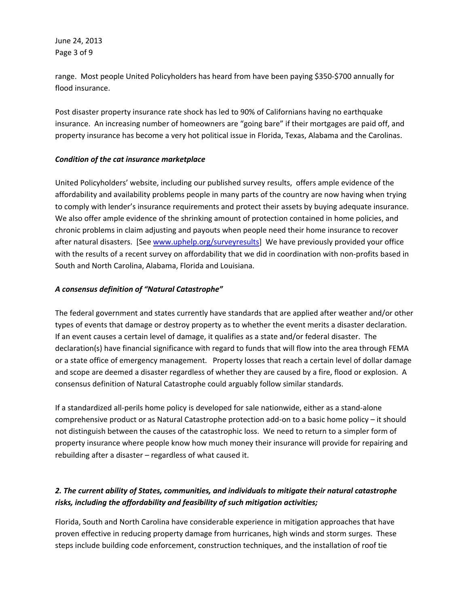June 24, 2013 Page 3 of 9

range. Most people United Policyholders has heard from have been paying \$350-\$700 annually for flood insurance.

Post disaster property insurance rate shock has led to 90% of Californians having no earthquake insurance. An increasing number of homeowners are "going bare" if their mortgages are paid off, and property insurance has become a very hot political issue in Florida, Texas, Alabama and the Carolinas.

## *Condition of the cat insurance marketplace*

United Policyholders' website, including our published survey results, offers ample evidence of the affordability and availability problems people in many parts of the country are now having when trying to comply with lender's insurance requirements and protect their assets by buying adequate insurance. We also offer ample evidence of the shrinking amount of protection contained in home policies, and chronic problems in claim adjusting and payouts when people need their home insurance to recover after natural disasters. [See www.uphelp.org/surveyresults] We have previously provided your office with the results of a recent survey on affordability that we did in coordination with non-profits based in South and North Carolina, Alabama, Florida and Louisiana.

## *A consensus definition of "Natural Catastrophe"*

The federal government and states currently have standards that are applied after weather and/or other types of events that damage or destroy property as to whether the event merits a disaster declaration. If an event causes a certain level of damage, it qualifies as a state and/or federal disaster. The declaration(s) have financial significance with regard to funds that will flow into the area through FEMA or a state office of emergency management. Property losses that reach a certain level of dollar damage and scope are deemed a disaster regardless of whether they are caused by a fire, flood or explosion. A consensus definition of Natural Catastrophe could arguably follow similar standards.

If a standardized all-perils home policy is developed for sale nationwide, either as a stand-alone comprehensive product or as Natural Catastrophe protection add-on to a basic home policy – it should not distinguish between the causes of the catastrophic loss. We need to return to a simpler form of property insurance where people know how much money their insurance will provide for repairing and rebuilding after a disaster – regardless of what caused it.

# *2. The current ability of States, communities, and individuals to mitigate their natural catastrophe risks, including the affordability and feasibility of such mitigation activities;*

Florida, South and North Carolina have considerable experience in mitigation approaches that have proven effective in reducing property damage from hurricanes, high winds and storm surges. These steps include building code enforcement, construction techniques, and the installation of roof tie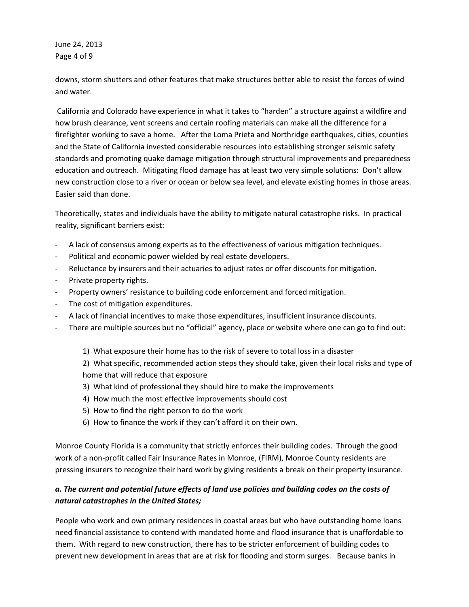June 24, 2013 Page 4 of 9

downs, storm shutters and other features that make structures better able to resist the forces of wind and water.

California and Colorado have experience in what it takes to "harden" a structure against a wildfire and how brush clearance, vent screens and certain roofing materials can make all the difference for a firefighter working to save a home. After the Loma Prieta and Northridge earthquakes, cities, counties and the State of California invested considerable resources into establishing stronger seismic safety standards and promoting quake damage mitigation through structural improvements and preparedness education and outreach. Mitigating flood damage has at least two very simple solutions: Don't allow new construction close to a river or ocean or below sea level, and elevate existing homes in those areas. Easier said than done.

Theoretically, states and individuals have the ability to mitigate natural catastrophe risks. In practical reality, significant barriers exist:

- A lack of consensus among experts as to the effectiveness of various mitigation techniques.
- Political and economic power wielded by real estate developers.
- Reluctance by insurers and their actuaries to adjust rates or offer discounts for mitigation.
- Private property rights.
- Property owners' resistance to building code enforcement and forced mitigation.
- The cost of mitigation expenditures.
- A lack of financial incentives to make those expenditures, insufficient insurance discounts.
- There are multiple sources but no "official" agency, place or website where one can go to find out:
	- 1) What exposure their home has to the risk of severe to total loss in a disaster

2) What specific, recommended action steps they should take, given their local risks and type of home that will reduce that exposure

- 3) What kind of professional they should hire to make the improvements
- 4) How much the most effective improvements should cost
- 5) How to find the right person to do the work
- 6) How to finance the work if they can't afford it on their own.

Monroe County Florida is a community that strictly enforces their building codes. Through the good work of a non-profit called Fair Insurance Rates in Monroe, (FIRM), Monroe County residents are pressing insurers to recognize their hard work by giving residents a break on their property insurance.

# *a. The current and potential future effects of land use policies and building codes on the costs of natural catastrophes in the United States;*

People who work and own primary residences in coastal areas but who have outstanding home loans need financial assistance to contend with mandated home and flood insurance that is unaffordable to them. With regard to new construction, there has to be stricter enforcement of building codes to prevent new development in areas that are at risk for flooding and storm surges. Because banks in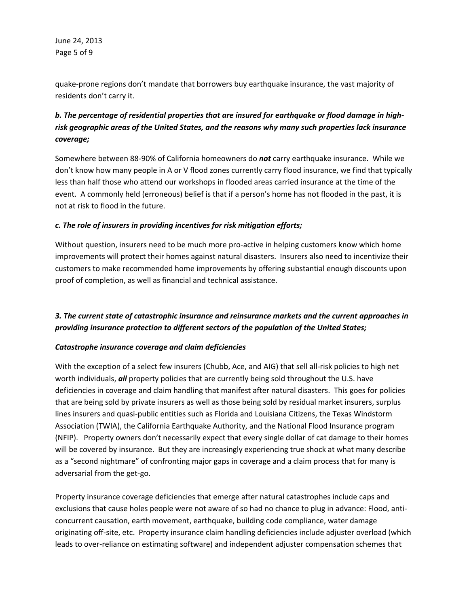June 24, 2013 Page 5 of 9

quake-prone regions don't mandate that borrowers buy earthquake insurance, the vast majority of residents don't carry it.

# *b. The percentage of residential properties that are insured for earthquake or flood damage in highrisk geographic areas of the United States, and the reasons why many such properties lack insurance coverage;*

Somewhere between 88-90% of California homeowners do *not* carry earthquake insurance. While we don't know how many people in A or V flood zones currently carry flood insurance, we find that typically less than half those who attend our workshops in flooded areas carried insurance at the time of the event. A commonly held (erroneous) belief is that if a person's home has not flooded in the past, it is not at risk to flood in the future.

## *c. The role of insurers in providing incentives for risk mitigation efforts;*

Without question, insurers need to be much more pro-active in helping customers know which home improvements will protect their homes against natural disasters. Insurers also need to incentivize their customers to make recommended home improvements by offering substantial enough discounts upon proof of completion, as well as financial and technical assistance.

# *3. The current state of catastrophic insurance and reinsurance markets and the current approaches in providing insurance protection to different sectors of the population of the United States;*

## *Catastrophe insurance coverage and claim deficiencies*

With the exception of a select few insurers (Chubb, Ace, and AIG) that sell all-risk policies to high net worth individuals, *all* property policies that are currently being sold throughout the U.S. have deficiencies in coverage and claim handling that manifest after natural disasters. This goes for policies that are being sold by private insurers as well as those being sold by residual market insurers, surplus lines insurers and quasi-public entities such as Florida and Louisiana Citizens, the Texas Windstorm Association (TWIA), the California Earthquake Authority, and the National Flood Insurance program (NFIP). Property owners don't necessarily expect that every single dollar of cat damage to their homes will be covered by insurance. But they are increasingly experiencing true shock at what many describe as a "second nightmare" of confronting major gaps in coverage and a claim process that for many is adversarial from the get-go.

Property insurance coverage deficiencies that emerge after natural catastrophes include caps and exclusions that cause holes people were not aware of so had no chance to plug in advance: Flood, anticoncurrent causation, earth movement, earthquake, building code compliance, water damage originating off-site, etc. Property insurance claim handling deficiencies include adjuster overload (which leads to over-reliance on estimating software) and independent adjuster compensation schemes that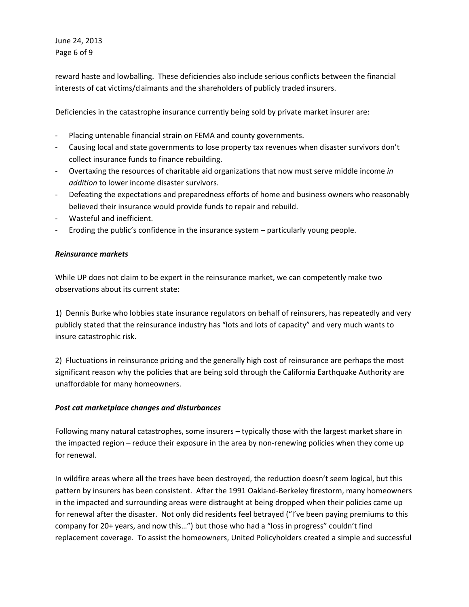June 24, 2013 Page 6 of 9

reward haste and lowballing. These deficiencies also include serious conflicts between the financial interests of cat victims/claimants and the shareholders of publicly traded insurers.

Deficiencies in the catastrophe insurance currently being sold by private market insurer are:

- Placing untenable financial strain on FEMA and county governments.
- Causing local and state governments to lose property tax revenues when disaster survivors don't collect insurance funds to finance rebuilding.
- Overtaxing the resources of charitable aid organizations that now must serve middle income *in addition* to lower income disaster survivors.
- Defeating the expectations and preparedness efforts of home and business owners who reasonably believed their insurance would provide funds to repair and rebuild.
- Wasteful and inefficient.
- Eroding the public's confidence in the insurance system particularly young people.

## *Reinsurance markets*

While UP does not claim to be expert in the reinsurance market, we can competently make two observations about its current state:

1) Dennis Burke who lobbies state insurance regulators on behalf of reinsurers, has repeatedly and very publicly stated that the reinsurance industry has "lots and lots of capacity" and very much wants to insure catastrophic risk.

2) Fluctuations in reinsurance pricing and the generally high cost of reinsurance are perhaps the most significant reason why the policies that are being sold through the California Earthquake Authority are unaffordable for many homeowners.

## *Post cat marketplace changes and disturbances*

Following many natural catastrophes, some insurers – typically those with the largest market share in the impacted region – reduce their exposure in the area by non-renewing policies when they come up for renewal.

In wildfire areas where all the trees have been destroyed, the reduction doesn't seem logical, but this pattern by insurers has been consistent. After the 1991 Oakland-Berkeley firestorm, many homeowners in the impacted and surrounding areas were distraught at being dropped when their policies came up for renewal after the disaster. Not only did residents feel betrayed ("I've been paying premiums to this company for 20+ years, and now this…") but those who had a "loss in progress" couldn't find replacement coverage. To assist the homeowners, United Policyholders created a simple and successful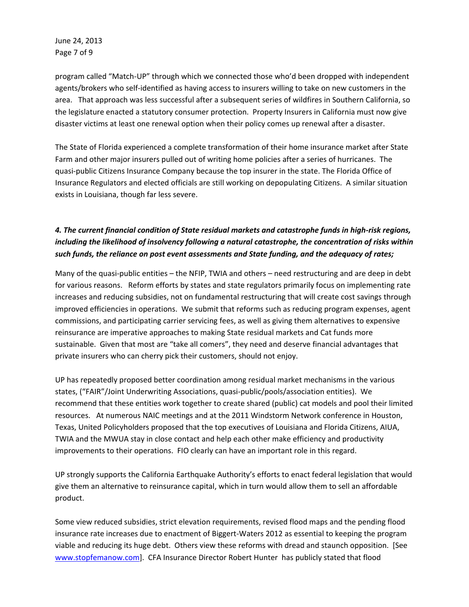June 24, 2013 Page 7 of 9

program called "Match-UP" through which we connected those who'd been dropped with independent agents/brokers who self-identified as having access to insurers willing to take on new customers in the area. That approach was less successful after a subsequent series of wildfires in Southern California, so the legislature enacted a statutory consumer protection. Property Insurers in California must now give disaster victims at least one renewal option when their policy comes up renewal after a disaster.

The State of Florida experienced a complete transformation of their home insurance market after State Farm and other major insurers pulled out of writing home policies after a series of hurricanes. The quasi-public Citizens Insurance Company because the top insurer in the state. The Florida Office of Insurance Regulators and elected officials are still working on depopulating Citizens. A similar situation exists in Louisiana, though far less severe.

# *4. The current financial condition of State residual markets and catastrophe funds in high-risk regions, including the likelihood of insolvency following a natural catastrophe, the concentration of risks within such funds, the reliance on post event assessments and State funding, and the adequacy of rates;*

Many of the quasi-public entities – the NFIP, TWIA and others – need restructuring and are deep in debt for various reasons. Reform efforts by states and state regulators primarily focus on implementing rate increases and reducing subsidies, not on fundamental restructuring that will create cost savings through improved efficiencies in operations. We submit that reforms such as reducing program expenses, agent commissions, and participating carrier servicing fees, as well as giving them alternatives to expensive reinsurance are imperative approaches to making State residual markets and Cat funds more sustainable. Given that most are "take all comers", they need and deserve financial advantages that private insurers who can cherry pick their customers, should not enjoy.

UP has repeatedly proposed better coordination among residual market mechanisms in the various states, ("FAIR"/Joint Underwriting Associations, quasi-public/pools/association entities). We recommend that these entities work together to create shared (public) cat models and pool their limited resources. At numerous NAIC meetings and at the 2011 Windstorm Network conference in Houston, Texas, United Policyholders proposed that the top executives of Louisiana and Florida Citizens, AIUA, TWIA and the MWUA stay in close contact and help each other make efficiency and productivity improvements to their operations. FIO clearly can have an important role in this regard.

UP strongly supports the California Earthquake Authority's efforts to enact federal legislation that would give them an alternative to reinsurance capital, which in turn would allow them to sell an affordable product.

Some view reduced subsidies, strict elevation requirements, revised flood maps and the pending flood insurance rate increases due to enactment of Biggert-Waters 2012 as essential to keeping the program viable and reducing its huge debt. Others view these reforms with dread and staunch opposition. [See [www.stopfemanow.com\]](http://www.stopfemanow.com/). CFA Insurance Director Robert Hunter has publicly stated that flood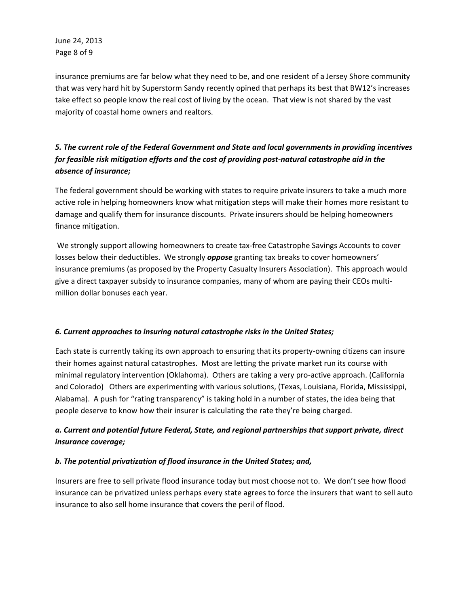June 24, 2013 Page 8 of 9

insurance premiums are far below what they need to be, and one resident of a Jersey Shore community that was very hard hit by Superstorm Sandy recently opined that perhaps its best that BW12's increases take effect so people know the real cost of living by the ocean. That view is not shared by the vast majority of coastal home owners and realtors.

# *5. The current role of the Federal Government and State and local governments in providing incentives for feasible risk mitigation efforts and the cost of providing post-natural catastrophe aid in the absence of insurance;*

The federal government should be working with states to require private insurers to take a much more active role in helping homeowners know what mitigation steps will make their homes more resistant to damage and qualify them for insurance discounts. Private insurers should be helping homeowners finance mitigation.

We strongly support allowing homeowners to create tax-free Catastrophe Savings Accounts to cover losses below their deductibles. We strongly *oppose* granting tax breaks to cover homeowners' insurance premiums (as proposed by the Property Casualty Insurers Association). This approach would give a direct taxpayer subsidy to insurance companies, many of whom are paying their CEOs multimillion dollar bonuses each year.

## *6. Current approaches to insuring natural catastrophe risks in the United States;*

Each state is currently taking its own approach to ensuring that its property-owning citizens can insure their homes against natural catastrophes. Most are letting the private market run its course with minimal regulatory intervention (Oklahoma). Others are taking a very pro-active approach. (California and Colorado) Others are experimenting with various solutions, (Texas, Louisiana, Florida, Mississippi, Alabama). A push for "rating transparency" is taking hold in a number of states, the idea being that people deserve to know how their insurer is calculating the rate they're being charged.

# *a. Current and potential future Federal, State, and regional partnerships that support private, direct insurance coverage;*

## *b. The potential privatization of flood insurance in the United States; and,*

Insurers are free to sell private flood insurance today but most choose not to. We don't see how flood insurance can be privatized unless perhaps every state agrees to force the insurers that want to sell auto insurance to also sell home insurance that covers the peril of flood.